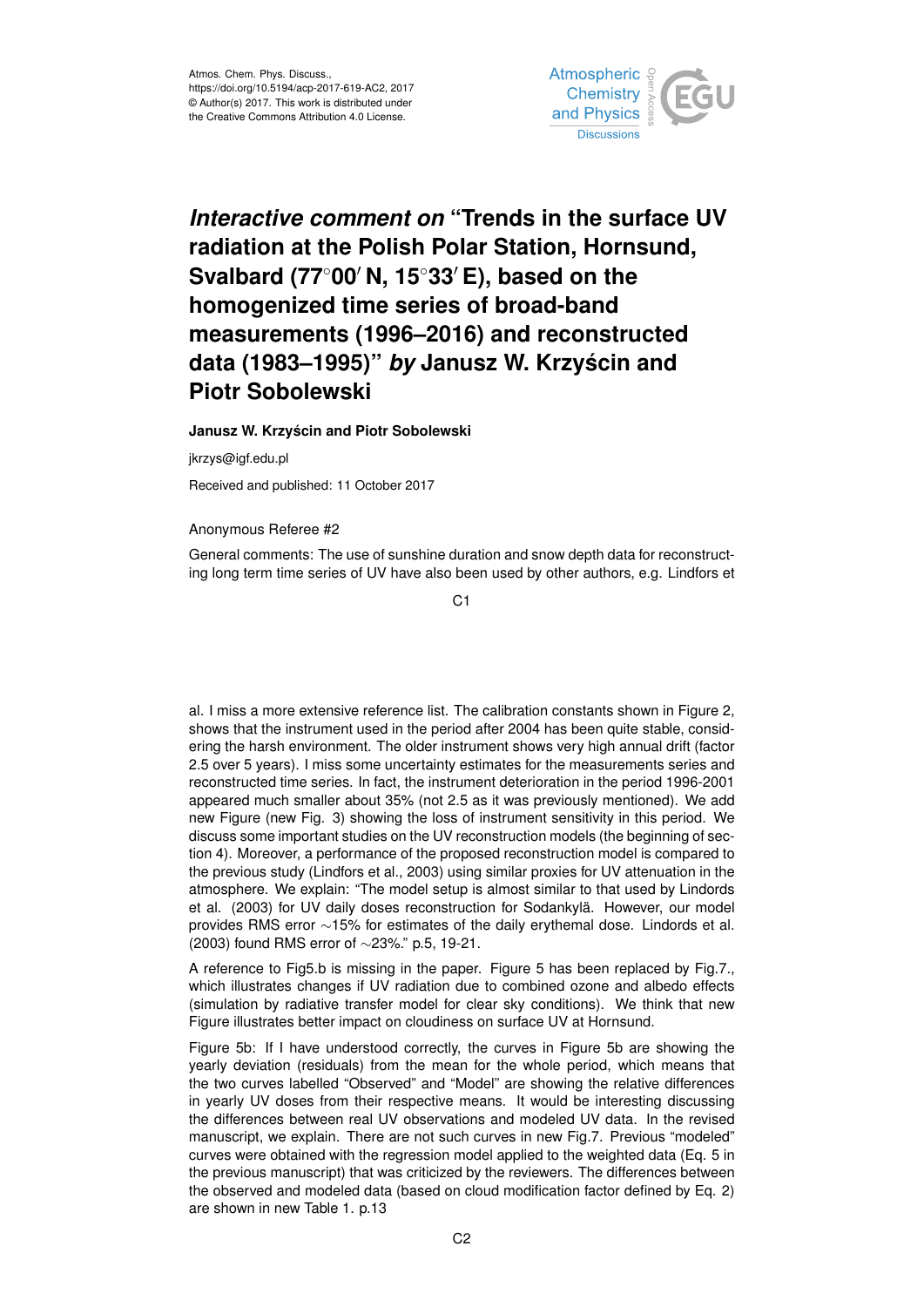

## *Interactive comment on* **"Trends in the surface UV radiation at the Polish Polar Station, Hornsund, Svalbard (77<sup>◦</sup>00<sup>'</sup> N, 15<sup>◦</sup>33<sup>'</sup> E), based on the homogenized time series of broad-band measurements (1996–2016) and reconstructed data (1983–1995)"** *by* **Janusz W. Krzyscin and ´ Piotr Sobolewski**

**Janusz W. Krzyscin and Piotr Sobolewski ´**

jkrzys@igf.edu.pl

Received and published: 11 October 2017

## Anonymous Referee #2

General comments: The use of sunshine duration and snow depth data for reconstructing long term time series of UV have also been used by other authors, e.g. Lindfors et

C1

al. I miss a more extensive reference list. The calibration constants shown in Figure 2, shows that the instrument used in the period after 2004 has been quite stable, considering the harsh environment. The older instrument shows very high annual drift (factor 2.5 over 5 years). I miss some uncertainty estimates for the measurements series and reconstructed time series. In fact, the instrument deterioration in the period 1996-2001 appeared much smaller about 35% (not 2.5 as it was previously mentioned). We add new Figure (new Fig. 3) showing the loss of instrument sensitivity in this period. We discuss some important studies on the UV reconstruction models (the beginning of section 4). Moreover, a performance of the proposed reconstruction model is compared to the previous study (Lindfors et al., 2003) using similar proxies for UV attenuation in the atmosphere. We explain: "The model setup is almost similar to that used by Lindords et al. (2003) for UV daily doses reconstruction for Sodankylä. However, our model provides RMS error ∼15% for estimates of the daily erythemal dose. Lindords et al. (2003) found RMS error of ∼23%." p.5, 19-21.

A reference to Fig5.b is missing in the paper. Figure 5 has been replaced by Fig.7., which illustrates changes if UV radiation due to combined ozone and albedo effects (simulation by radiative transfer model for clear sky conditions). We think that new Figure illustrates better impact on cloudiness on surface UV at Hornsund.

Figure 5b: If I have understood correctly, the curves in Figure 5b are showing the yearly deviation (residuals) from the mean for the whole period, which means that the two curves labelled "Observed" and "Model" are showing the relative differences in yearly UV doses from their respective means. It would be interesting discussing the differences between real UV observations and modeled UV data. In the revised manuscript, we explain. There are not such curves in new Fig.7. Previous "modeled" curves were obtained with the regression model applied to the weighted data (Eq. 5 in the previous manuscript) that was criticized by the reviewers. The differences between the observed and modeled data (based on cloud modification factor defined by Eq. 2) are shown in new Table 1. p.13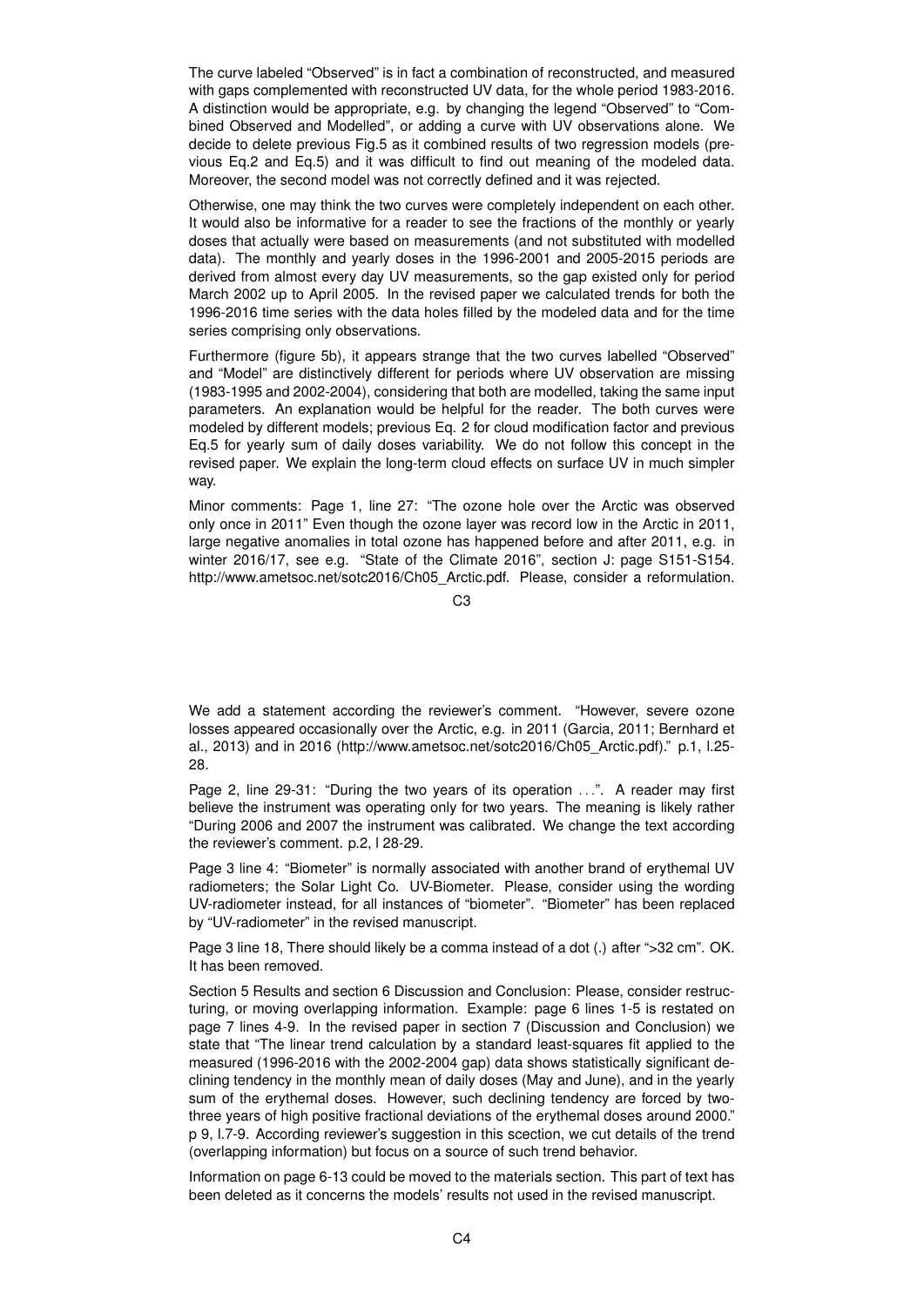The curve labeled "Observed" is in fact a combination of reconstructed, and measured with gaps complemented with reconstructed UV data, for the whole period 1983-2016. A distinction would be appropriate, e.g. by changing the legend "Observed" to "Combined Observed and Modelled", or adding a curve with UV observations alone. We decide to delete previous Fig.5 as it combined results of two regression models (previous Eq.2 and Eq.5) and it was difficult to find out meaning of the modeled data. Moreover, the second model was not correctly defined and it was rejected.

Otherwise, one may think the two curves were completely independent on each other. It would also be informative for a reader to see the fractions of the monthly or yearly doses that actually were based on measurements (and not substituted with modelled data). The monthly and yearly doses in the 1996-2001 and 2005-2015 periods are derived from almost every day UV measurements, so the gap existed only for period March 2002 up to April 2005. In the revised paper we calculated trends for both the 1996-2016 time series with the data holes filled by the modeled data and for the time series comprising only observations.

Furthermore (figure 5b), it appears strange that the two curves labelled "Observed" and "Model" are distinctively different for periods where UV observation are missing (1983-1995 and 2002-2004), considering that both are modelled, taking the same input parameters. An explanation would be helpful for the reader. The both curves were modeled by different models; previous Eq. 2 for cloud modification factor and previous Eq.5 for yearly sum of daily doses variability. We do not follow this concept in the revised paper. We explain the long-term cloud effects on surface UV in much simpler way.

Minor comments: Page 1, line 27: "The ozone hole over the Arctic was observed only once in 2011" Even though the ozone layer was record low in the Arctic in 2011, large negative anomalies in total ozone has happened before and after 2011, e.g. in winter 2016/17, see e.g. "State of the Climate 2016", section J: page S151-S154. http://www.ametsoc.net/sotc2016/Ch05\_Arctic.pdf. Please, consider a reformulation.

 $C3$ 

We add a statement according the reviewer's comment. "However, severe ozone losses appeared occasionally over the Arctic, e.g. in 2011 (Garcia, 2011; Bernhard et al., 2013) and in 2016 (http://www.ametsoc.net/sotc2016/Ch05\_Arctic.pdf)." p.1, l.25- 28.

Page 2, line 29-31: "During the two years of its operation ...". A reader may first believe the instrument was operating only for two years. The meaning is likely rather "During 2006 and 2007 the instrument was calibrated. We change the text according the reviewer's comment. p.2, l 28-29.

Page 3 line 4: "Biometer" is normally associated with another brand of erythemal UV radiometers; the Solar Light Co. UV-Biometer. Please, consider using the wording UV-radiometer instead, for all instances of "biometer". "Biometer" has been replaced by "UV-radiometer" in the revised manuscript.

Page 3 line 18, There should likely be a comma instead of a dot (.) after ">32 cm". OK. It has been removed.

Section 5 Results and section 6 Discussion and Conclusion: Please, consider restructuring, or moving overlapping information. Example: page 6 lines 1-5 is restated on page 7 lines 4-9. In the revised paper in section 7 (Discussion and Conclusion) we state that "The linear trend calculation by a standard least-squares fit applied to the measured (1996-2016 with the 2002-2004 gap) data shows statistically significant declining tendency in the monthly mean of daily doses (May and June), and in the yearly sum of the erythemal doses. However, such declining tendency are forced by twothree years of high positive fractional deviations of the erythemal doses around 2000." p 9, l.7-9. According reviewer's suggestion in this scection, we cut details of the trend (overlapping information) but focus on a source of such trend behavior.

Information on page 6-13 could be moved to the materials section. This part of text has been deleted as it concerns the models' results not used in the revised manuscript.